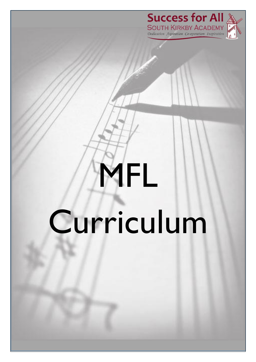



## MFL Curriculum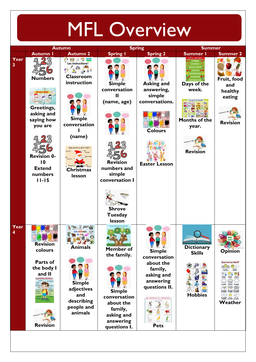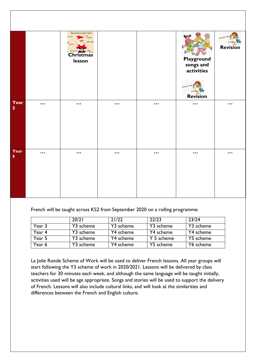|                                 |                         | Que porte le père Noël ?<br>Il porte<br>bonnet<br>Une barbe<br>Des gants<br>Christmas<br>lesson |                         |          | Playground<br>songs and<br>activities<br>REVISION TIME<br><b>Revision</b> | REVISION TIME<br><b>Revision</b> |
|---------------------------------|-------------------------|-------------------------------------------------------------------------------------------------|-------------------------|----------|---------------------------------------------------------------------------|----------------------------------|
| Year<br>$\overline{\mathbf{5}}$ | $\bullet\bullet\bullet$ | $\ddotsc$                                                                                       | $\cdots$                | $\cdots$ | $\cdots$                                                                  | $\ddotsc$                        |
| Year<br>$\boldsymbol{6}$        | $\cdots$                | $\bullet\bullet\bullet$                                                                         | $\bullet\bullet\bullet$ | $\cdots$ | $\bullet\bullet\bullet$                                                   | $\bullet\bullet\bullet$          |

French will be taught across KS2 from September 2020 on a rolling programme:

|        | 20/21     | 21/22     | 22/23      | 23/24     |
|--------|-----------|-----------|------------|-----------|
| Year 3 | Y3 scheme | Y3 scheme | Y3 scheme  | Y3 scheme |
| Year 4 | Y3 scheme | Y4 scheme | Y4 scheme  | Y4 scheme |
| Year 5 | Y3 scheme | Y4 scheme | Y 5 scheme | Y5 scheme |
| Year 6 | Y3 scheme | Y4 scheme | Y5 scheme  | Y6 scheme |

La Jolie Ronde Scheme of Work will be used to deliver French lessons. All year groups will start following the Y3 scheme of work in 2020/2021. Lessons will be delivered by class teachers for 30 minutes each week, and although the same language will be taught initially, activities used will be age appropriate. Songs and stories will be used to support the delivery of French. Lessons will also include cultural links, and will look at the similarities and differences between the French and English culture.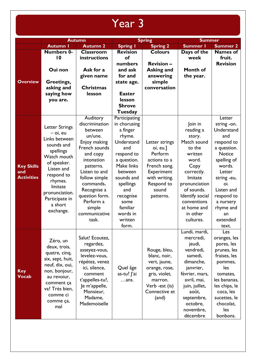## Year 3

|                                               | <b>Autumn</b>                                                                                                                                                                                                               |                                                                                                                                                                                                                                                                  |                                                                                                                                                                                                                                   | <b>Spring</b>                                                                                                                            | <b>Summer</b>                                                                                                                                                                                                         |                                                                                                                                                                                                                                    |
|-----------------------------------------------|-----------------------------------------------------------------------------------------------------------------------------------------------------------------------------------------------------------------------------|------------------------------------------------------------------------------------------------------------------------------------------------------------------------------------------------------------------------------------------------------------------|-----------------------------------------------------------------------------------------------------------------------------------------------------------------------------------------------------------------------------------|------------------------------------------------------------------------------------------------------------------------------------------|-----------------------------------------------------------------------------------------------------------------------------------------------------------------------------------------------------------------------|------------------------------------------------------------------------------------------------------------------------------------------------------------------------------------------------------------------------------------|
|                                               | <b>Autumn I</b>                                                                                                                                                                                                             | <b>Autumn 2</b>                                                                                                                                                                                                                                                  | <b>Spring I</b>                                                                                                                                                                                                                   | <b>Spring 2</b>                                                                                                                          | <b>Summer I</b>                                                                                                                                                                                                       | <b>Summer 2</b>                                                                                                                                                                                                                    |
| <b>Overview</b>                               | <b>Numbers 0-</b><br>10<br>Oui non<br>Greetings,<br>asking and<br>saying how<br>you are.                                                                                                                                    | <b>Classroom</b><br>instructions<br>Ask for a<br>given name<br><b>Christmas</b><br>lesson                                                                                                                                                                        | <b>Revision</b><br>of<br>numbers<br>and ask<br>for and<br>state age.<br><b>Easter</b><br>lesson<br><b>Shrove</b>                                                                                                                  | <b>Colours</b><br><b>Revision -</b><br><b>Asking and</b><br>answering<br>simple<br>conversation                                          | Days of the<br>week<br>Month of<br>the year.                                                                                                                                                                          | <b>Names of</b><br>fruit.<br><b>Revision</b>                                                                                                                                                                                       |
|                                               |                                                                                                                                                                                                                             |                                                                                                                                                                                                                                                                  | Tuesday                                                                                                                                                                                                                           |                                                                                                                                          |                                                                                                                                                                                                                       |                                                                                                                                                                                                                                    |
| <b>Key Skills</b><br>and<br><b>Activities</b> | <b>Letter Strings</b><br>$-$ oi, eu<br>Links between<br>sounds and<br>spellings<br>Watch mouth<br>of speaker.<br>Listen and<br>respond to<br>rhymes.<br>Imitate<br>pronunciation.<br>Participate in<br>a short<br>exchange. | <b>Auditory</b><br>discrimination<br>between<br>un/une.<br>Enjoy making<br>French sounds<br>and copy<br>intonation<br>patterns.<br>Listen to and<br>follow simple<br>commands.<br>Recognise a<br>question form.<br>Perform a<br>simple<br>communicative<br>task. | Participating<br>in chorusing<br>a finger<br>rhyme.<br>Understand<br>and<br>respond to<br>a question.<br>Make links<br>between<br>sounds and<br>spellings<br>and<br>recognise<br>some<br>familiar<br>words in<br>written<br>form. | Letter strings<br>oi, eu.]<br>Perform<br>actions to a<br>French song.<br>Experiment<br>with writing.<br>Respond to<br>sound<br>patterns. | Join in<br>reading a<br>story.<br>Match sound<br>to the<br>written<br>word.<br>Copy<br>correctly.<br>Imitate<br>pronunciation<br>of sounds.<br>Identify social<br>conventions<br>at home and<br>in other<br>cultures. | Letter<br>string -on.<br>Understand<br>and<br>respond to<br>a question.<br><b>Notice</b><br>spelling of<br>words.<br>Letter<br>string -eu,<br>oi.<br>Listen and<br>respond to<br>a nursery<br>rhyme and<br>an<br>extended<br>text. |
| <b>Key</b><br><b>Vocab</b>                    | Zéro, un<br>deux, trois,<br>quatre, cinq,<br>six, sept, huit,<br>neuf, dix, oui,<br>non, bonjour,<br>au revoiur,<br>comment ça<br>va? Très bien,<br>comme ci<br>comme ça,<br>mal                                            | Salut! Ecoutez,<br>regardez,<br>asseyez-vous,<br>levelez-vous,<br>répétez, venez<br>ici, silence,<br>comment<br>t'appelles-tu?,<br>Je m'appelle,<br>Monsieur,<br>Madame,<br>Mademoiselle                                                                         | Quel âge<br>as-tu? J'ai<br>ans.                                                                                                                                                                                                   | Rouge, bleu,<br>blanc, noir,<br>vert, jaune,<br>orange, rose,<br>gris, violet,<br>marron.<br>Verb -est (is)<br>Connective et<br>(and)    | Lundi, mardi,<br>mercredi,<br>jeudi,<br>vendredi,<br>samedi,<br>dimanche,<br>janvrier,<br>février, mars,<br>avril, mai,<br>juin, juillet,<br>août,<br>septembre,<br>octobre,<br>novembre,<br>décembre                 | Les<br>oranges, les<br>pores, les<br>prunes, les<br>fraises, les<br>pommes,<br>les<br>tomates,<br>les bananas,<br>les chips, le<br>coca, les<br>sucettes, le<br>chocolat,<br>les<br>bonbons.                                       |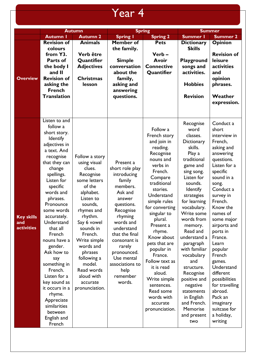## Year 4

|                                               | <b>Autumn</b>                                                                                                                                                                                                                                                                                                                                                                                                                                                               |                                                                                                                                                                                                                                                                                                                 | <b>Spring</b>                                                                                                                                                                                                                                                                     |                                                                                                                                                                                                                                                                                                                                                                                                                                      | <b>Summer</b>                                                                                                                                                                                                                                                                                                                                                                                                                                                |                                                                                                                                                                                                                                                                                                                                                                                                                                               |
|-----------------------------------------------|-----------------------------------------------------------------------------------------------------------------------------------------------------------------------------------------------------------------------------------------------------------------------------------------------------------------------------------------------------------------------------------------------------------------------------------------------------------------------------|-----------------------------------------------------------------------------------------------------------------------------------------------------------------------------------------------------------------------------------------------------------------------------------------------------------------|-----------------------------------------------------------------------------------------------------------------------------------------------------------------------------------------------------------------------------------------------------------------------------------|--------------------------------------------------------------------------------------------------------------------------------------------------------------------------------------------------------------------------------------------------------------------------------------------------------------------------------------------------------------------------------------------------------------------------------------|--------------------------------------------------------------------------------------------------------------------------------------------------------------------------------------------------------------------------------------------------------------------------------------------------------------------------------------------------------------------------------------------------------------------------------------------------------------|-----------------------------------------------------------------------------------------------------------------------------------------------------------------------------------------------------------------------------------------------------------------------------------------------------------------------------------------------------------------------------------------------------------------------------------------------|
|                                               | <b>Autumn I</b>                                                                                                                                                                                                                                                                                                                                                                                                                                                             | <b>Autumn 2</b>                                                                                                                                                                                                                                                                                                 | <b>Spring I</b>                                                                                                                                                                                                                                                                   | <b>Spring 2</b>                                                                                                                                                                                                                                                                                                                                                                                                                      | <b>Summer I</b>                                                                                                                                                                                                                                                                                                                                                                                                                                              | <b>Summer 2</b>                                                                                                                                                                                                                                                                                                                                                                                                                               |
| <b>Overview</b>                               | <b>Revision of</b><br>colours<br>from Y3.<br>Parts of<br>the body I<br>and II<br><b>Revision of</b><br>asking the<br><b>French</b><br><b>Translation</b><br>Listen to and                                                                                                                                                                                                                                                                                                   | <b>Animals</b><br>Verb être<br>Quantifier<br><b>Adjectives</b><br><b>Christmas</b><br>lesson                                                                                                                                                                                                                    | <b>Member of</b><br>the family.<br><b>Simple</b><br>conversation<br>about the<br>family,<br>asking and<br>answering<br>questions.                                                                                                                                                 | <b>Pets</b><br>Verb-<br>Avoir<br><b>Connective</b><br>Quantifier                                                                                                                                                                                                                                                                                                                                                                     | <b>Dictionary</b><br><b>Skills</b><br>Playground<br>songs and<br>activities.<br><b>Hobbies</b><br><b>Revision</b>                                                                                                                                                                                                                                                                                                                                            | <b>Opinion</b><br><b>Revision of</b><br>leisure<br>activities<br>and<br>opinion<br>phrases.<br>Weather<br>expression.                                                                                                                                                                                                                                                                                                                         |
| <b>Key skills</b><br>and<br><b>activities</b> | follow a<br>short story.<br><b>Identify</b><br>adjectives in<br>a text. And<br>recognise<br>that they can<br>change<br>spellings.<br>Listen for<br>specific<br>words and<br>phrases.<br>Pronounce<br>some words<br>accurately.<br>Understand<br>that all<br>French<br>nouns have a<br>gender.<br>Ask how to<br>say<br>something in<br>French.<br>Listen for a<br>key sound as<br>it occurs in a<br>rhyme.<br>Appreciate<br>similarities<br>between<br>English and<br>French | Follow a story<br>using visual<br>clues.<br>Recognise<br>some letters<br>of the<br>alphabet.<br>Listen to<br>sounds,<br>rhymes and<br>rhythm.<br>Say 6 vowel<br>sounds in<br>French.<br>Write simple<br>words and<br>phrases<br>following a<br>model.<br>Read words<br>aloud with<br>accurate<br>pronunciation. | Present a<br>short role play<br>introducing<br>family<br>members.<br>Ask and<br>answer<br>questions.<br>Recognise<br>rhyming<br>words and<br>understand<br>that the final<br>consonant is<br>rarely<br>pronounced.<br>Use mental<br>associations to<br>help<br>remember<br>words. | Follow a<br>French story<br>and join in<br>reading.<br>Recognise<br>nouns and<br>verbs in<br>French.<br>Compare<br>traditional<br>stories.<br>Understand<br>simple rules<br>for converting<br>singular to<br>plural.<br>Present a<br>rhyme.<br>Know about<br>pets that are<br>popular in<br>France.<br>Follow text as<br>it is read<br>aloud.<br>Write simple<br>sentences.<br>Read some<br>words with<br>accurate<br>pronunciation. | Recognise<br>word<br>classes.<br>Dictionary<br>skills.<br>Play a<br>traditional<br>game and<br>sing song.<br>Listen for<br>sounds.<br><b>Identify</b><br>strategies<br>for learning<br>vocabulary.<br>Write some<br>words from<br>memory.<br>Read and<br>understand a<br>paragraph<br>with familiar<br>vocabulary<br>and<br>structure.<br>Recognise<br>positive and<br>negative<br>statements<br>in English<br>and French.<br>Memorise<br>and present<br>two | Conduct a<br>short<br>interview in<br>French,<br>asking and<br>answering<br>questions.<br>Listen for a<br>specific<br>sound in a<br>song.<br>Conduct a<br>survey in<br>French.<br>Know the<br>names of<br>some major<br>airports and<br>ports in<br>France.<br>Learn<br>popular<br>French<br>games.<br>Understand<br>different<br>possibilities<br>for travelling<br>abroad.<br>Pack an<br>imaginary<br>suitcase for<br>a holiday,<br>writing |